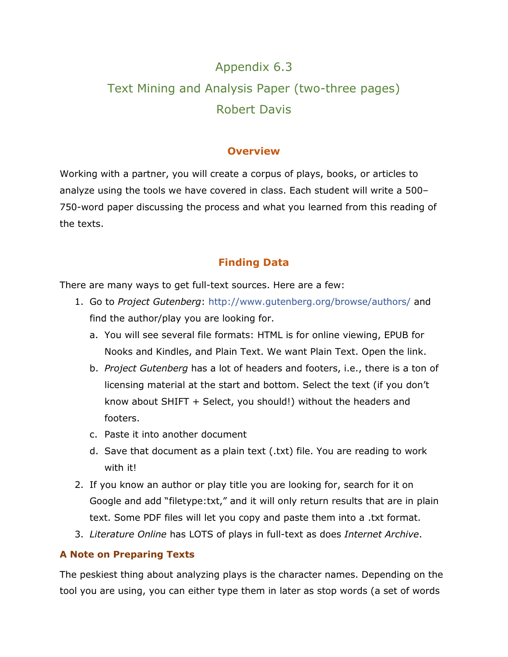# Appendix 6.3 Text Mining and Analysis Paper (two-three pages) Robert Davis

## **Overview**

Working with a partner, you will create a corpus of plays, books, or articles to analyze using the tools we have covered in class. Each student will write a 500– 750-word paper discussing the process and what you learned from this reading of the texts.

# **Finding Data**

There are many ways to get full-text sources. Here are a few:

- 1. Go to *Project Gutenberg*: [http://www.gutenberg.org/browse/authors/](http://www.gutenberg.org/browse/authors/s) and find the author/play you are looking for.
	- a. You will see several file formats: HTML is for online viewing, EPUB for Nooks and Kindles, and Plain Text. We want Plain Text. Open the link.
	- b. *Project Gutenberg* has a lot of headers and footers, i.e., there is a ton of licensing material at the start and bottom. Select the text (if you don't know about SHIFT + Select, you should!) without the headers and footers.
	- c. Paste it into another document
	- d. Save that document as a plain text (.txt) file. You are reading to work with it!
- 2. If you know an author or play title you are looking for, search for it on Google and add "filetype:txt," and it will only return results that are in plain text. Some PDF files will let you copy and paste them into a .txt format.
- 3. *Literature Online* has LOTS of plays in full-text as does *Internet Archive*.

#### **A Note on Preparing Texts**

The peskiest thing about analyzing plays is the character names. Depending on the tool you are using, you can either type them in later as stop words (a set of words